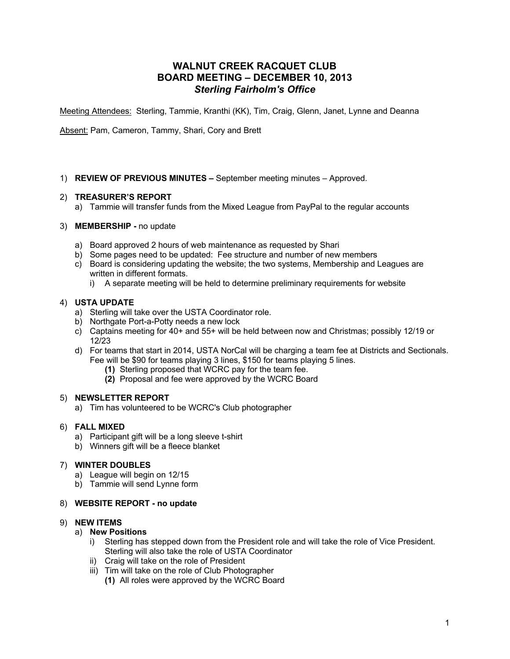# **WALNUT CREEK RACQUET CLUB BOARD MEETING – DECEMBER 10, 2013** *Sterling Fairholm's Office*

Meeting Attendees: Sterling, Tammie, Kranthi (KK), Tim, Craig, Glenn, Janet, Lynne and Deanna

Absent: Pam, Cameron, Tammy, Shari, Cory and Brett

### 1) **REVIEW OF PREVIOUS MINUTES –** September meeting minutes – Approved.

### 2) **TREASURER'S REPORT**

a) Tammie will transfer funds from the Mixed League from PayPal to the regular accounts

#### 3) **MEMBERSHIP -** no update

- a) Board approved 2 hours of web maintenance as requested by Shari
- b) Some pages need to be updated: Fee structure and number of new members
- c) Board is considering updating the website; the two systems, Membership and Leagues are written in different formats.
	- i) A separate meeting will be held to determine preliminary requirements for website

### 4) **USTA UPDATE**

- a) Sterling will take over the USTA Coordinator role.
- b) Northgate Port-a-Potty needs a new lock
- c) Captains meeting for 40+ and 55+ will be held between now and Christmas; possibly 12/19 or 12/23
- d) For teams that start in 2014, USTA NorCal will be charging a team fee at Districts and Sectionals. Fee will be \$90 for teams playing 3 lines, \$150 for teams playing 5 lines.
	- **(1)** Sterling proposed that WCRC pay for the team fee.
	- **(2)** Proposal and fee were approved by the WCRC Board

#### 5) **NEWSLETTER REPORT**

a) Tim has volunteered to be WCRC's Club photographer

### 6) **FALL MIXED**

- a) Participant gift will be a long sleeve t-shirt
- b) Winners gift will be a fleece blanket

### 7) **WINTER DOUBLES**

- a) League will begin on 12/15
- b) Tammie will send Lynne form

#### 8) **WEBSITE REPORT - no update**

#### 9) **NEW ITEMS**

- a) **New Positions**
	- i) Sterling has stepped down from the President role and will take the role of Vice President. Sterling will also take the role of USTA Coordinator
	- ii) Craig will take on the role of President
	- iii) Tim will take on the role of Club Photographer
		- **(1)** All roles were approved by the WCRC Board